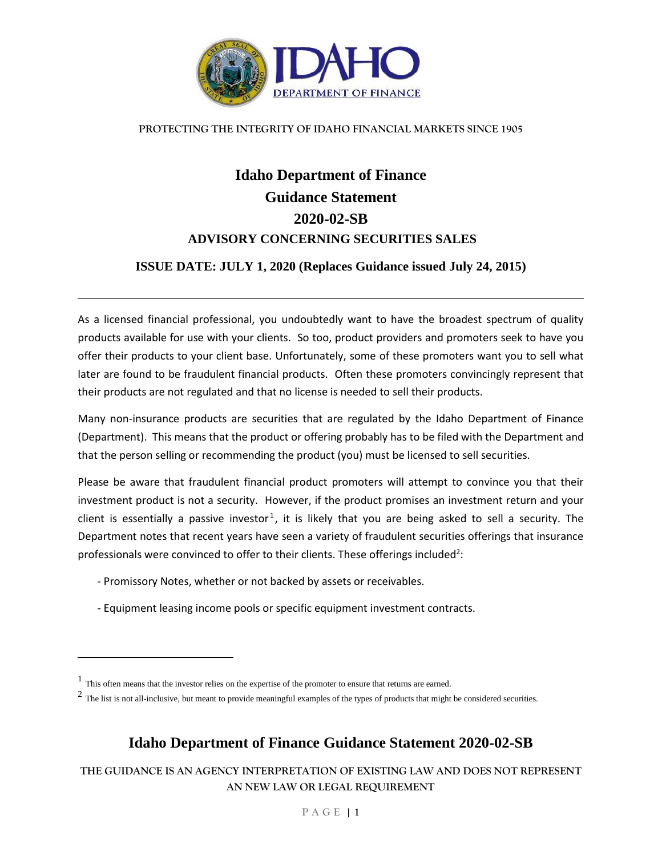

#### **PROTECTING THE INTEGRITY OF IDAHO FINANCIAL MARKETS SINCE 1905**

# **Idaho Department of Finance Guidance Statement 2020-02-SB ADVISORY CONCERNING SECURITIES SALES**

### **ISSUE DATE: JULY 1, 2020 (Replaces Guidance issued July 24, 2015)**

As a licensed financial professional, you undoubtedly want to have the broadest spectrum of quality products available for use with your clients. So too, product providers and promoters seek to have you offer their products to your client base. Unfortunately, some of these promoters want you to sell what later are found to be fraudulent financial products. Often these promoters convincingly represent that their products are not regulated and that no license is needed to sell their products.

Many non-insurance products are securities that are regulated by the Idaho Department of Finance (Department). This means that the product or offering probably has to be filed with the Department and that the person selling or recommending the product (you) must be licensed to sell securities.

Please be aware that fraudulent financial product promoters will attempt to convince you that their investment product is not a security. However, if the product promises an investment return and your client is essentially a passive investor<sup>1</sup>, it is likely that you are being asked to sell a security. The Department notes that recent years have seen a variety of fraudulent securities offerings that insurance professionals were convinced to offer to their clients. These offerings included<sup>2</sup>:

- Promissory Notes, whether or not backed by assets or receivables.
- Equipment leasing income pools or specific equipment investment contracts.

 $\overline{\phantom{a}}$ 

# **Idaho Department of Finance Guidance Statement 2020-02-SB**

**THE GUIDANCE IS AN AGENCY INTERPRETATION OF EXISTING LAW AND DOES NOT REPRESENT AN NEW LAW OR LEGAL REQUIREMENT**

<sup>&</sup>lt;sup>1</sup> This often means that the investor relies on the expertise of the promoter to ensure that returns are earned.

 $2$  The list is not all-inclusive, but meant to provide meaningful examples of the types of products that might be considered securities.